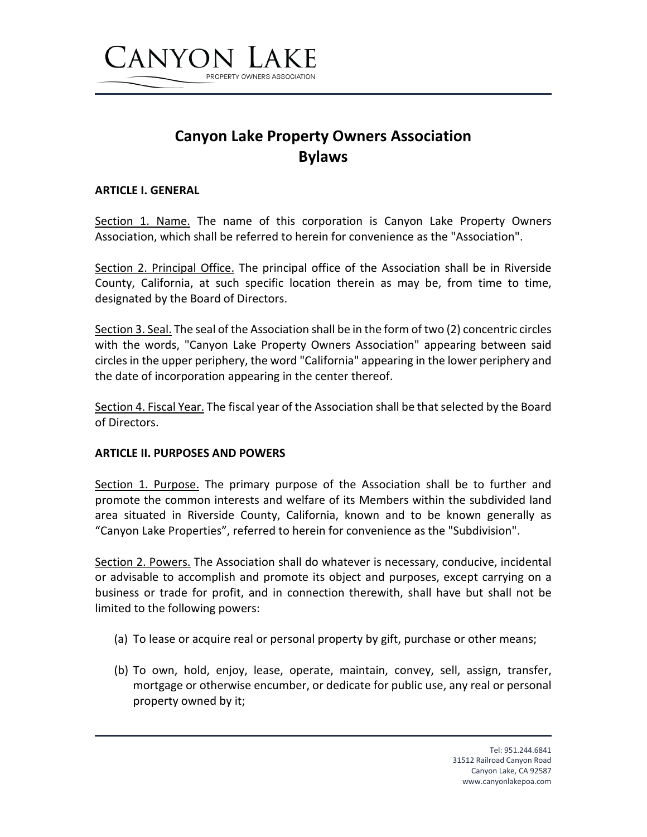

# **Canyon Lake Property Owners Association Bylaws**

#### **ARTICLE I. GENERAL**

Section 1. Name. The name of this corporation is Canyon Lake Property Owners Association, which shall be referred to herein for convenience as the "Association".

Section 2. Principal Office. The principal office of the Association shall be in Riverside County, California, at such specific location therein as may be, from time to time, designated by the Board of Directors.

Section 3. Seal. The seal of the Association shall be in the form of two (2) concentric circles with the words, "Canyon Lake Property Owners Association" appearing between said circles in the upper periphery, the word "California" appearing in the lower periphery and the date of incorporation appearing in the center thereof.

Section 4. Fiscal Year. The fiscal year of the Association shall be that selected by the Board of Directors.

#### **ARTICLE II. PURPOSES AND POWERS**

Section 1. Purpose. The primary purpose of the Association shall be to further and promote the common interests and welfare of its Members within the subdivided land area situated in Riverside County, California, known and to be known generally as "Canyon Lake Properties", referred to herein for convenience as the "Subdivision".

Section 2. Powers. The Association shall do whatever is necessary, conducive, incidental or advisable to accomplish and promote its object and purposes, except carrying on a business or trade for profit, and in connection therewith, shall have but shall not be limited to the following powers:

- (a) To lease or acquire real or personal property by gift, purchase or other means;
- (b) To own, hold, enjoy, lease, operate, maintain, convey, sell, assign, transfer, mortgage or otherwise encumber, or dedicate for public use, any real or personal property owned by it;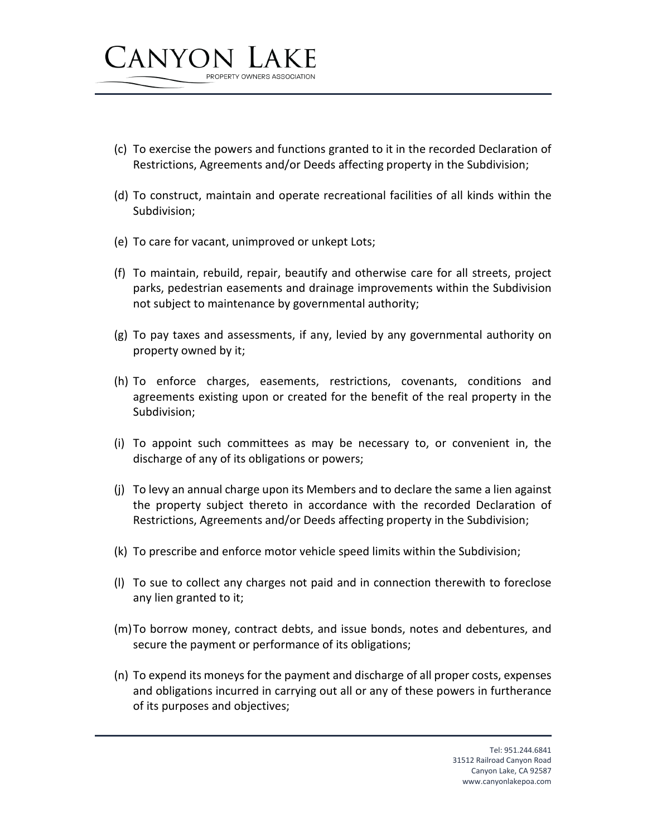

- (d) To construct, maintain and operate recreational facilities of all kinds within the Subdivision;
- (e) To care for vacant, unimproved or unkept Lots;

PROPERTY OWNERS ASSOCIATION

CANYON

- (f) To maintain, rebuild, repair, beautify and otherwise care for all streets, project parks, pedestrian easements and drainage improvements within the Subdivision not subject to maintenance by governmental authority;
- (g) To pay taxes and assessments, if any, levied by any governmental authority on property owned by it;
- (h) To enforce charges, easements, restrictions, covenants, conditions and agreements existing upon or created for the benefit of the real property in the Subdivision;
- (i) To appoint such committees as may be necessary to, or convenient in, the discharge of any of its obligations or powers;
- (j) To levy an annual charge upon its Members and to declare the same a lien against the property subject thereto in accordance with the recorded Declaration of Restrictions, Agreements and/or Deeds affecting property in the Subdivision;
- (k) To prescribe and enforce motor vehicle speed limits within the Subdivision;
- (l) To sue to collect any charges not paid and in connection therewith to foreclose any lien granted to it;
- (m)To borrow money, contract debts, and issue bonds, notes and debentures, and secure the payment or performance of its obligations;
- (n) To expend its moneys for the payment and discharge of all proper costs, expenses and obligations incurred in carrying out all or any of these powers in furtherance of its purposes and objectives;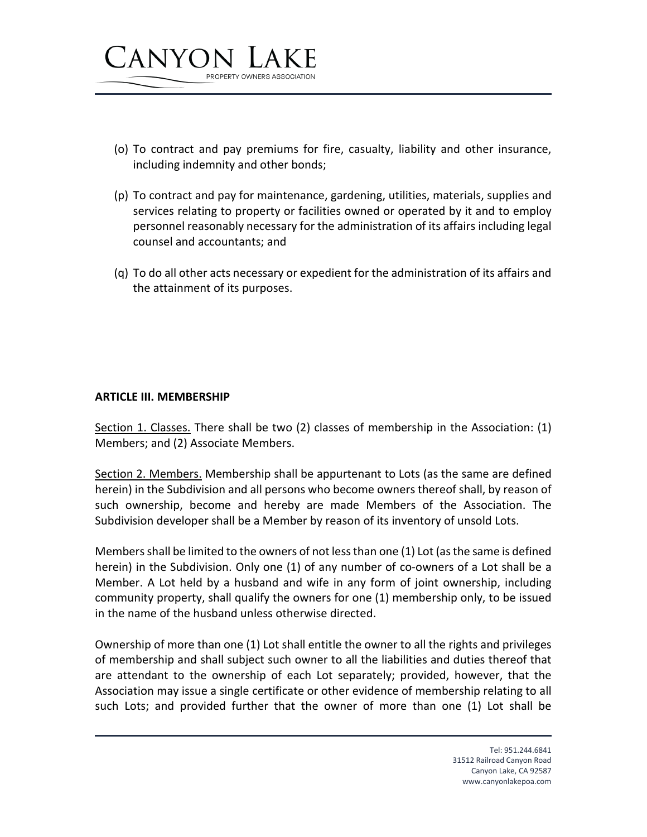

- (o) To contract and pay premiums for fire, casualty, liability and other insurance, including indemnity and other bonds;
- (p) To contract and pay for maintenance, gardening, utilities, materials, supplies and services relating to property or facilities owned or operated by it and to employ personnel reasonably necessary for the administration of its affairs including legal counsel and accountants; and
- (q) To do all other acts necessary or expedient for the administration of its affairs and the attainment of its purposes.

### **ARTICLE III. MEMBERSHIP**

Section 1. Classes. There shall be two (2) classes of membership in the Association: (1) Members; and (2) Associate Members.

Section 2. Members. Membership shall be appurtenant to Lots (as the same are defined herein) in the Subdivision and all persons who become owners thereof shall, by reason of such ownership, become and hereby are made Members of the Association. The Subdivision developer shall be a Member by reason of its inventory of unsold Lots.

Members shall be limited to the owners of not less than one (1) Lot (as the same is defined herein) in the Subdivision. Only one (1) of any number of co-owners of a Lot shall be a Member. A Lot held by a husband and wife in any form of joint ownership, including community property, shall qualify the owners for one (1) membership only, to be issued in the name of the husband unless otherwise directed.

Ownership of more than one (1) Lot shall entitle the owner to all the rights and privileges of membership and shall subject such owner to all the liabilities and duties thereof that are attendant to the ownership of each Lot separately; provided, however, that the Association may issue a single certificate or other evidence of membership relating to all such Lots; and provided further that the owner of more than one (1) Lot shall be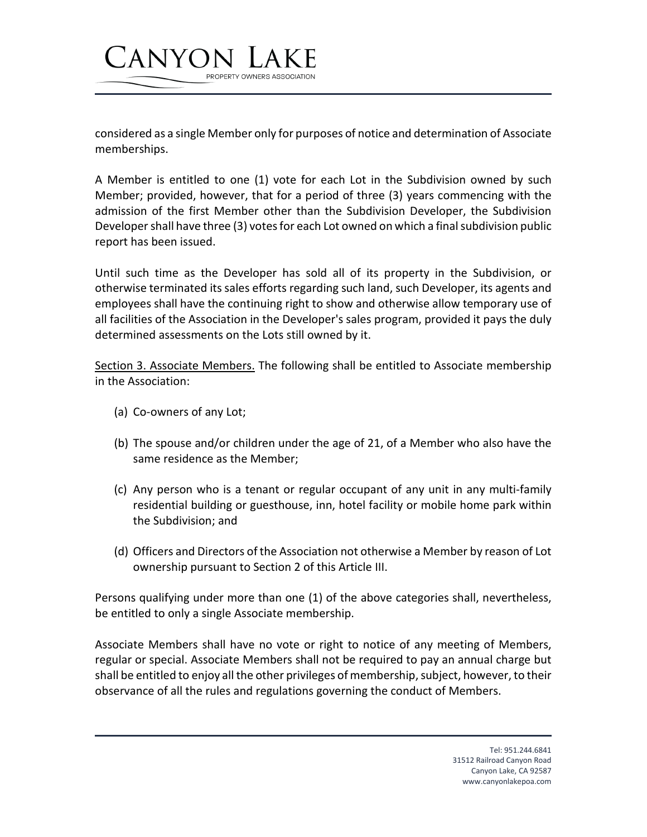considered as a single Member only for purposes of notice and determination of Associate memberships.

PROPERTY OWNERS ASSOCIATION

A Member is entitled to one (1) vote for each Lot in the Subdivision owned by such Member; provided, however, that for a period of three (3) years commencing with the admission of the first Member other than the Subdivision Developer, the Subdivision Developer shall have three (3) votes for each Lot owned on which a final subdivision public report has been issued.

Until such time as the Developer has sold all of its property in the Subdivision, or otherwise terminated its sales efforts regarding such land, such Developer, its agents and employees shall have the continuing right to show and otherwise allow temporary use of all facilities of the Association in the Developer's sales program, provided it pays the duly determined assessments on the Lots still owned by it.

Section 3. Associate Members. The following shall be entitled to Associate membership in the Association:

(a) Co-owners of any Lot;

CANYON

- (b) The spouse and/or children under the age of 21, of a Member who also have the same residence as the Member;
- (c) Any person who is a tenant or regular occupant of any unit in any multi-family residential building or guesthouse, inn, hotel facility or mobile home park within the Subdivision; and
- (d) Officers and Directors of the Association not otherwise a Member by reason of Lot ownership pursuant to Section 2 of this Article III.

Persons qualifying under more than one (1) of the above categories shall, nevertheless, be entitled to only a single Associate membership.

Associate Members shall have no vote or right to notice of any meeting of Members, regular or special. Associate Members shall not be required to pay an annual charge but shall be entitled to enjoy all the other privileges of membership, subject, however, to their observance of all the rules and regulations governing the conduct of Members.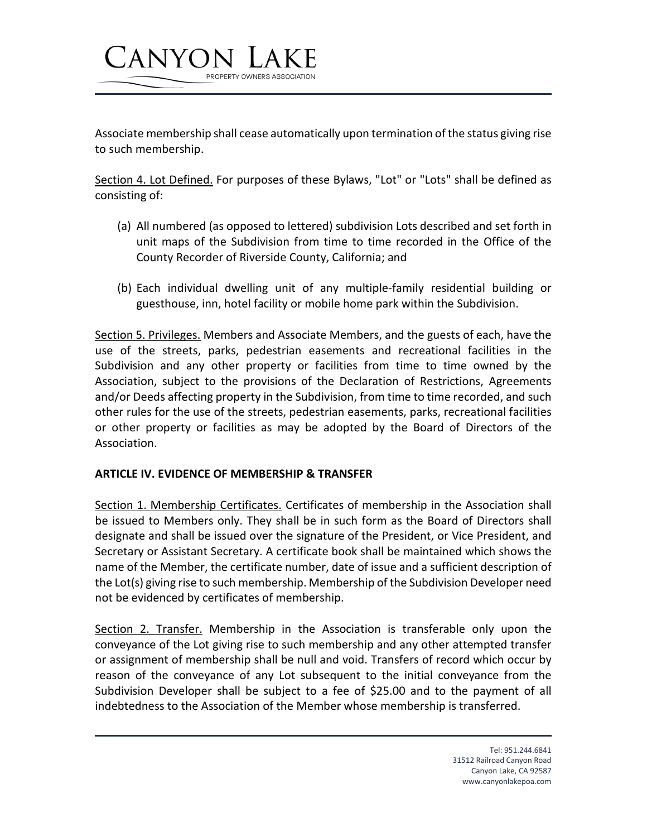

PROPERTY OWNERS ASSOCIATION

Section 4. Lot Defined. For purposes of these Bylaws, "Lot" or "Lots" shall be defined as consisting of:

- (a) All numbered (as opposed to lettered) subdivision Lots described and set forth in unit maps of the Subdivision from time to time recorded in the Office of the County Recorder of Riverside County, California; and
- (b) Each individual dwelling unit of any multiple-family residential building or guesthouse, inn, hotel facility or mobile home park within the Subdivision.

Section 5. Privileges. Members and Associate Members, and the guests of each, have the use of the streets, parks, pedestrian easements and recreational facilities in the Subdivision and any other property or facilities from time to time owned by the Association, subject to the provisions of the Declaration of Restrictions, Agreements and/or Deeds affecting property in the Subdivision, from time to time recorded, and such other rules for the use of the streets, pedestrian easements, parks, recreational facilities or other property or facilities as may be adopted by the Board of Directors of the Association.

#### **ARTICLE IV. EVIDENCE OF MEMBERSHIP & TRANSFER**

CANYON

Section 1. Membership Certificates. Certificates of membership in the Association shall be issued to Members only. They shall be in such form as the Board of Directors shall designate and shall be issued over the signature of the President, or Vice President, and Secretary or Assistant Secretary. A certificate book shall be maintained which shows the name of the Member, the certificate number, date of issue and a sufficient description of the Lot(s) giving rise to such membership. Membership of the Subdivision Developer need not be evidenced by certificates of membership.

Section 2. Transfer. Membership in the Association is transferable only upon the conveyance of the Lot giving rise to such membership and any other attempted transfer or assignment of membership shall be null and void. Transfers of record which occur by reason of the conveyance of any Lot subsequent to the initial conveyance from the Subdivision Developer shall be subject to a fee of \$25.00 and to the payment of all indebtedness to the Association of the Member whose membership is transferred.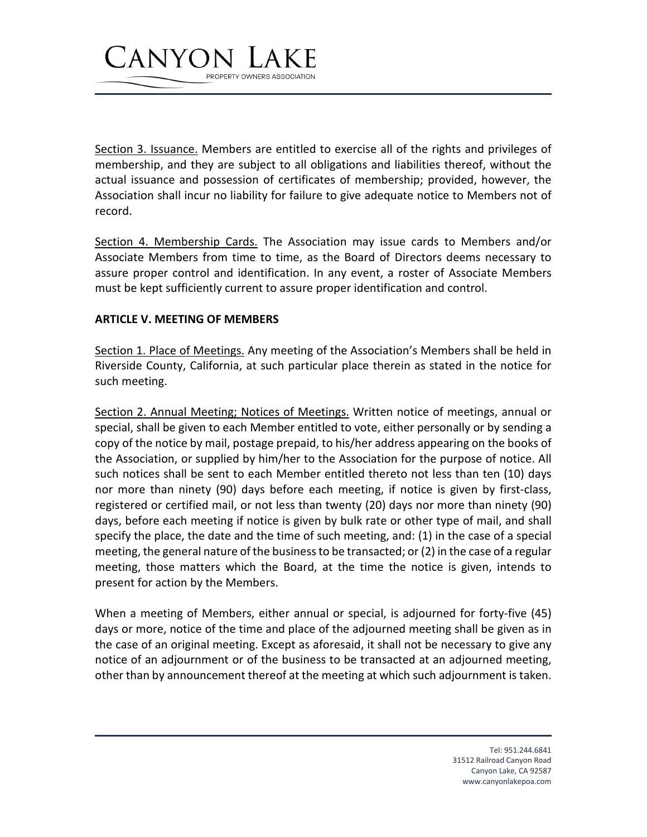

Section 3. Issuance. Members are entitled to exercise all of the rights and privileges of membership, and they are subject to all obligations and liabilities thereof, without the actual issuance and possession of certificates of membership; provided, however, the Association shall incur no liability for failure to give adequate notice to Members not of record.

Section 4. Membership Cards. The Association may issue cards to Members and/or Associate Members from time to time, as the Board of Directors deems necessary to assure proper control and identification. In any event, a roster of Associate Members must be kept sufficiently current to assure proper identification and control.

#### **ARTICLE V. MEETING OF MEMBERS**

Section 1. Place of Meetings. Any meeting of the Association's Members shall be held in Riverside County, California, at such particular place therein as stated in the notice for such meeting.

Section 2. Annual Meeting; Notices of Meetings. Written notice of meetings, annual or special, shall be given to each Member entitled to vote, either personally or by sending a copy of the notice by mail, postage prepaid, to his/her address appearing on the books of the Association, or supplied by him/her to the Association for the purpose of notice. All such notices shall be sent to each Member entitled thereto not less than ten (10) days nor more than ninety (90) days before each meeting, if notice is given by first-class, registered or certified mail, or not less than twenty (20) days nor more than ninety (90) days, before each meeting if notice is given by bulk rate or other type of mail, and shall specify the place, the date and the time of such meeting, and: (1) in the case of a special meeting, the general nature of the business to be transacted; or (2) in the case of a regular meeting, those matters which the Board, at the time the notice is given, intends to present for action by the Members.

When a meeting of Members, either annual or special, is adjourned for forty-five (45) days or more, notice of the time and place of the adjourned meeting shall be given as in the case of an original meeting. Except as aforesaid, it shall not be necessary to give any notice of an adjournment or of the business to be transacted at an adjourned meeting, other than by announcement thereof at the meeting at which such adjournment is taken.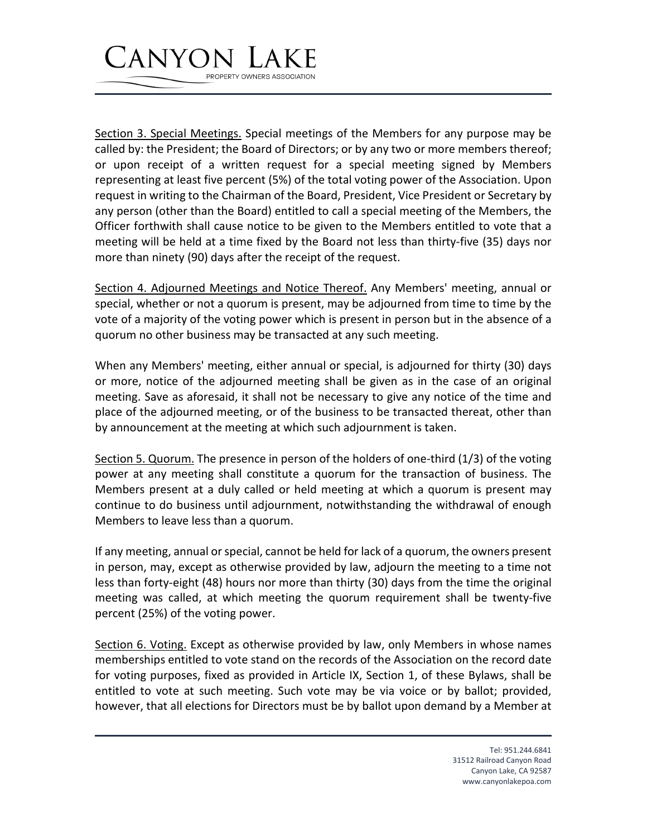## CANYON PROPERTY OWNERS ASSOCIATION

Section 3. Special Meetings. Special meetings of the Members for any purpose may be called by: the President; the Board of Directors; or by any two or more members thereof; or upon receipt of a written request for a special meeting signed by Members representing at least five percent (5%) of the total voting power of the Association. Upon request in writing to the Chairman of the Board, President, Vice President or Secretary by any person (other than the Board) entitled to call a special meeting of the Members, the Officer forthwith shall cause notice to be given to the Members entitled to vote that a meeting will be held at a time fixed by the Board not less than thirty-five (35) days nor more than ninety (90) days after the receipt of the request.

Section 4. Adjourned Meetings and Notice Thereof. Any Members' meeting, annual or special, whether or not a quorum is present, may be adjourned from time to time by the vote of a majority of the voting power which is present in person but in the absence of a quorum no other business may be transacted at any such meeting.

When any Members' meeting, either annual or special, is adjourned for thirty (30) days or more, notice of the adjourned meeting shall be given as in the case of an original meeting. Save as aforesaid, it shall not be necessary to give any notice of the time and place of the adjourned meeting, or of the business to be transacted thereat, other than by announcement at the meeting at which such adjournment is taken.

Section 5. Quorum. The presence in person of the holders of one-third (1/3) of the voting power at any meeting shall constitute a quorum for the transaction of business. The Members present at a duly called or held meeting at which a quorum is present may continue to do business until adjournment, notwithstanding the withdrawal of enough Members to leave less than a quorum.

If any meeting, annual or special, cannot be held for lack of a quorum, the owners present in person, may, except as otherwise provided by law, adjourn the meeting to a time not less than forty-eight (48) hours nor more than thirty (30) days from the time the original meeting was called, at which meeting the quorum requirement shall be twenty-five percent (25%) of the voting power.

Section 6. Voting. Except as otherwise provided by law, only Members in whose names memberships entitled to vote stand on the records of the Association on the record date for voting purposes, fixed as provided in Article IX, Section 1, of these Bylaws, shall be entitled to vote at such meeting. Such vote may be via voice or by ballot; provided, however, that all elections for Directors must be by ballot upon demand by a Member at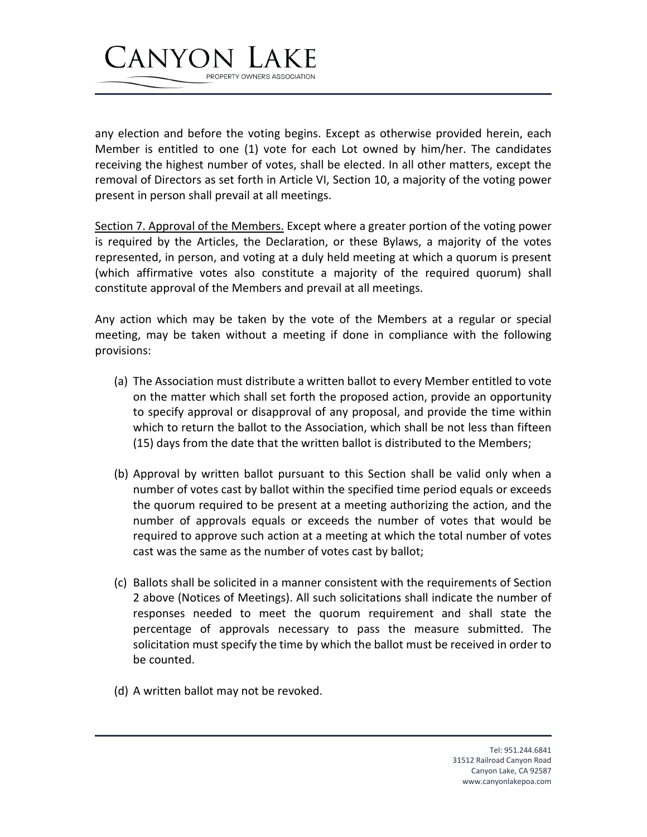

any election and before the voting begins. Except as otherwise provided herein, each Member is entitled to one (1) vote for each Lot owned by him/her. The candidates receiving the highest number of votes, shall be elected. In all other matters, except the removal of Directors as set forth in Article VI, Section 10, a majority of the voting power present in person shall prevail at all meetings.

Section 7. Approval of the Members. Except where a greater portion of the voting power is required by the Articles, the Declaration, or these Bylaws, a majority of the votes represented, in person, and voting at a duly held meeting at which a quorum is present (which affirmative votes also constitute a majority of the required quorum) shall constitute approval of the Members and prevail at all meetings.

Any action which may be taken by the vote of the Members at a regular or special meeting, may be taken without a meeting if done in compliance with the following provisions:

- (a) The Association must distribute a written ballot to every Member entitled to vote on the matter which shall set forth the proposed action, provide an opportunity to specify approval or disapproval of any proposal, and provide the time within which to return the ballot to the Association, which shall be not less than fifteen (15) days from the date that the written ballot is distributed to the Members;
- (b) Approval by written ballot pursuant to this Section shall be valid only when a number of votes cast by ballot within the specified time period equals or exceeds the quorum required to be present at a meeting authorizing the action, and the number of approvals equals or exceeds the number of votes that would be required to approve such action at a meeting at which the total number of votes cast was the same as the number of votes cast by ballot;
- (c) Ballots shall be solicited in a manner consistent with the requirements of Section 2 above (Notices of Meetings). All such solicitations shall indicate the number of responses needed to meet the quorum requirement and shall state the percentage of approvals necessary to pass the measure submitted. The solicitation must specify the time by which the ballot must be received in order to be counted.
- (d) A written ballot may not be revoked.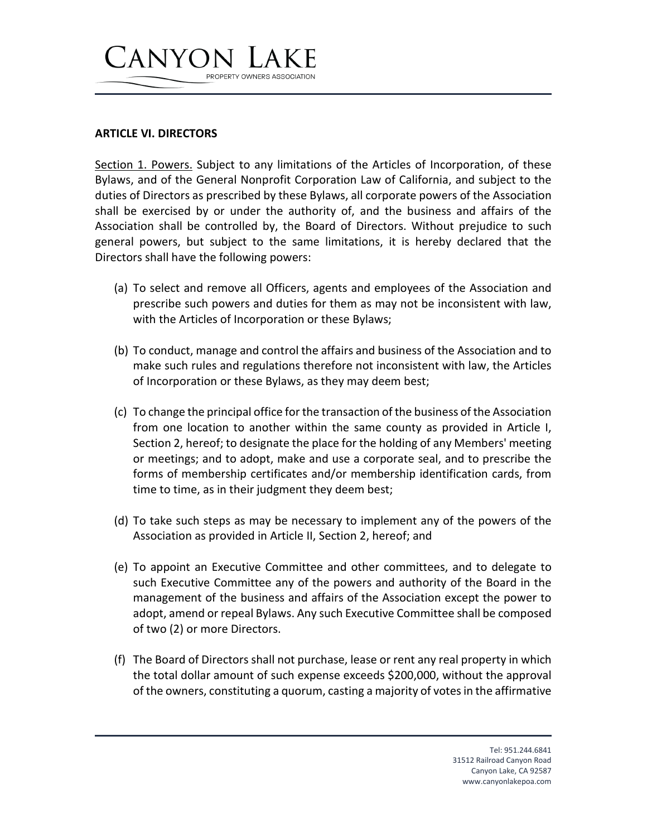# CANYON PROPERTY OWNERS ASSOCIATION

#### **ARTICLE VI. DIRECTORS**

Section 1. Powers. Subject to any limitations of the Articles of Incorporation, of these Bylaws, and of the General Nonprofit Corporation Law of California, and subject to the duties of Directors as prescribed by these Bylaws, all corporate powers of the Association shall be exercised by or under the authority of, and the business and affairs of the Association shall be controlled by, the Board of Directors. Without prejudice to such general powers, but subject to the same limitations, it is hereby declared that the Directors shall have the following powers:

- (a) To select and remove all Officers, agents and employees of the Association and prescribe such powers and duties for them as may not be inconsistent with law, with the Articles of Incorporation or these Bylaws;
- (b) To conduct, manage and control the affairs and business of the Association and to make such rules and regulations therefore not inconsistent with law, the Articles of Incorporation or these Bylaws, as they may deem best;
- (c) To change the principal office for the transaction of the business of the Association from one location to another within the same county as provided in Article I, Section 2, hereof; to designate the place for the holding of any Members' meeting or meetings; and to adopt, make and use a corporate seal, and to prescribe the forms of membership certificates and/or membership identification cards, from time to time, as in their judgment they deem best;
- (d) To take such steps as may be necessary to implement any of the powers of the Association as provided in Article II, Section 2, hereof; and
- (e) To appoint an Executive Committee and other committees, and to delegate to such Executive Committee any of the powers and authority of the Board in the management of the business and affairs of the Association except the power to adopt, amend or repeal Bylaws. Any such Executive Committee shall be composed of two (2) or more Directors.
- (f) The Board of Directors shall not purchase, lease or rent any real property in which the total dollar amount of such expense exceeds \$200,000, without the approval of the owners, constituting a quorum, casting a majority of votes in the affirmative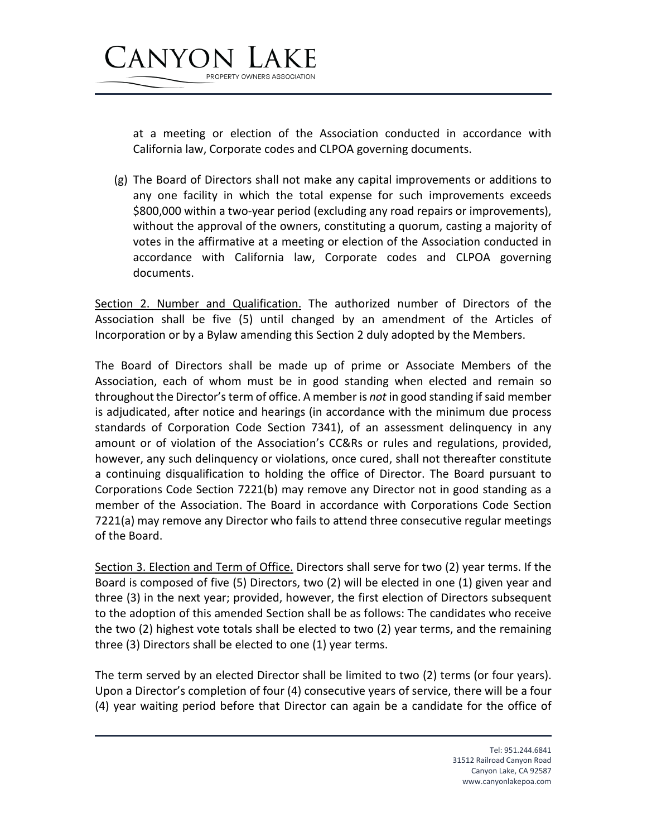

at a meeting or election of the Association conducted in accordance with California law, Corporate codes and CLPOA governing documents.

(g) The Board of Directors shall not make any capital improvements or additions to any one facility in which the total expense for such improvements exceeds \$800,000 within a two-year period (excluding any road repairs or improvements), without the approval of the owners, constituting a quorum, casting a majority of votes in the affirmative at a meeting or election of the Association conducted in accordance with California law, Corporate codes and CLPOA governing documents.

Section 2. Number and Qualification. The authorized number of Directors of the Association shall be five (5) until changed by an amendment of the Articles of Incorporation or by a Bylaw amending this Section 2 duly adopted by the Members.

The Board of Directors shall be made up of prime or Associate Members of the Association, each of whom must be in good standing when elected and remain so throughout the Director's term of office. A member is *not* in good standing if said member is adjudicated, after notice and hearings (in accordance with the minimum due process standards of Corporation Code Section 7341), of an assessment delinquency in any amount or of violation of the Association's CC&Rs or rules and regulations, provided, however, any such delinquency or violations, once cured, shall not thereafter constitute a continuing disqualification to holding the office of Director. The Board pursuant to Corporations Code Section 7221(b) may remove any Director not in good standing as a member of the Association. The Board in accordance with Corporations Code Section 7221(a) may remove any Director who fails to attend three consecutive regular meetings of the Board.

Section 3. Election and Term of Office. Directors shall serve for two (2) year terms. If the Board is composed of five (5) Directors, two (2) will be elected in one (1) given year and three (3) in the next year; provided, however, the first election of Directors subsequent to the adoption of this amended Section shall be as follows: The candidates who receive the two (2) highest vote totals shall be elected to two (2) year terms, and the remaining three (3) Directors shall be elected to one (1) year terms.

The term served by an elected Director shall be limited to two (2) terms (or four years). Upon a Director's completion of four (4) consecutive years of service, there will be a four (4) year waiting period before that Director can again be a candidate for the office of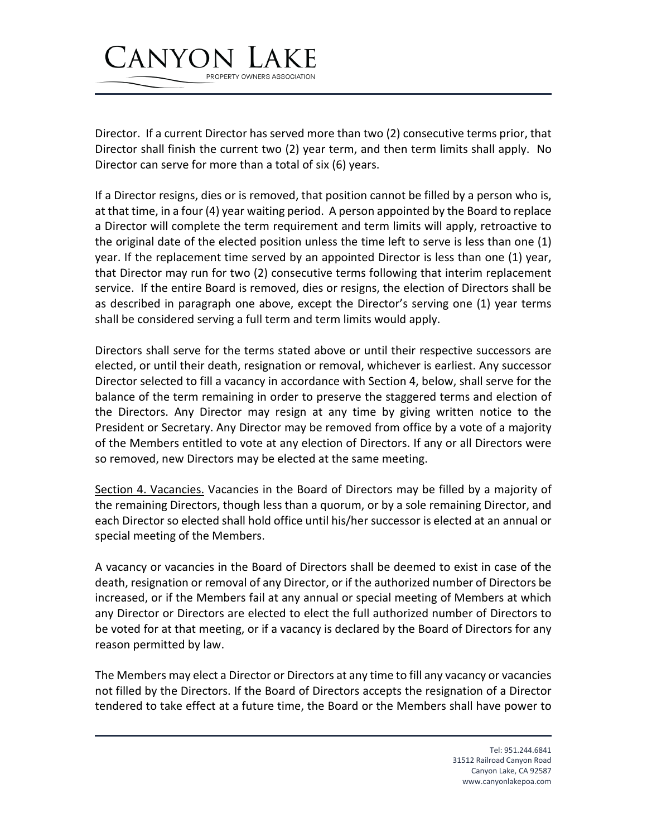

Director. If a current Director has served more than two (2) consecutive terms prior, that Director shall finish the current two (2) year term, and then term limits shall apply. No Director can serve for more than a total of six (6) years.

If a Director resigns, dies or is removed, that position cannot be filled by a person who is, at that time, in a four (4) year waiting period. A person appointed by the Board to replace a Director will complete the term requirement and term limits will apply, retroactive to the original date of the elected position unless the time left to serve is less than one (1) year. If the replacement time served by an appointed Director is less than one (1) year, that Director may run for two (2) consecutive terms following that interim replacement service. If the entire Board is removed, dies or resigns, the election of Directors shall be as described in paragraph one above, except the Director's serving one (1) year terms shall be considered serving a full term and term limits would apply.

Directors shall serve for the terms stated above or until their respective successors are elected, or until their death, resignation or removal, whichever is earliest. Any successor Director selected to fill a vacancy in accordance with Section 4, below, shall serve for the balance of the term remaining in order to preserve the staggered terms and election of the Directors. Any Director may resign at any time by giving written notice to the President or Secretary. Any Director may be removed from office by a vote of a majority of the Members entitled to vote at any election of Directors. If any or all Directors were so removed, new Directors may be elected at the same meeting.

Section 4. Vacancies. Vacancies in the Board of Directors may be filled by a majority of the remaining Directors, though less than a quorum, or by a sole remaining Director, and each Director so elected shall hold office until his/her successor is elected at an annual or special meeting of the Members.

A vacancy or vacancies in the Board of Directors shall be deemed to exist in case of the death, resignation or removal of any Director, or if the authorized number of Directors be increased, or if the Members fail at any annual or special meeting of Members at which any Director or Directors are elected to elect the full authorized number of Directors to be voted for at that meeting, or if a vacancy is declared by the Board of Directors for any reason permitted by law.

The Members may elect a Director or Directors at any time to fill any vacancy or vacancies not filled by the Directors. If the Board of Directors accepts the resignation of a Director tendered to take effect at a future time, the Board or the Members shall have power to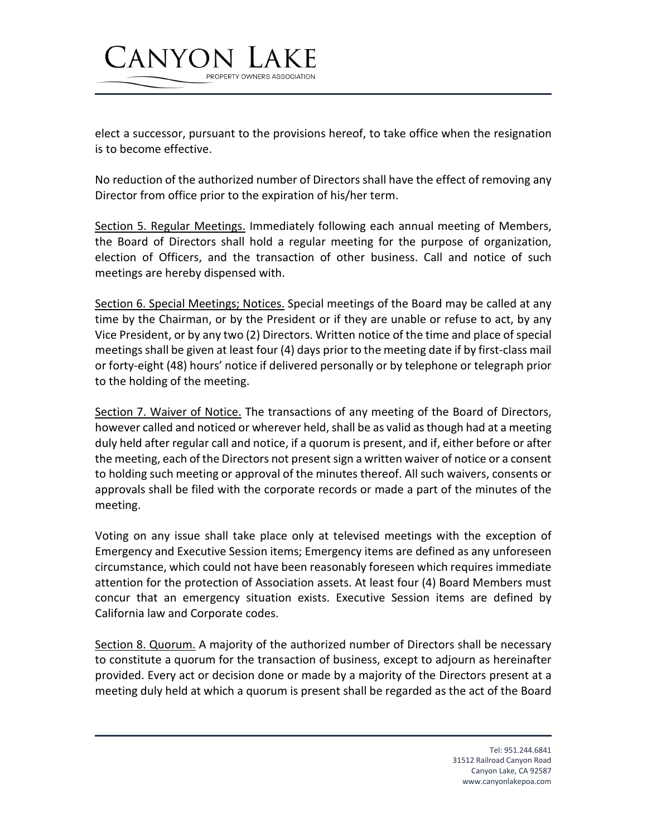

PROPERTY OWNERS ASSOCIATION

CANYON

No reduction of the authorized number of Directors shall have the effect of removing any Director from office prior to the expiration of his/her term.

Section 5. Regular Meetings. Immediately following each annual meeting of Members, the Board of Directors shall hold a regular meeting for the purpose of organization, election of Officers, and the transaction of other business. Call and notice of such meetings are hereby dispensed with.

Section 6. Special Meetings; Notices. Special meetings of the Board may be called at any time by the Chairman, or by the President or if they are unable or refuse to act, by any Vice President, or by any two (2) Directors. Written notice of the time and place of special meetings shall be given at least four (4) days prior to the meeting date if by first-class mail or forty-eight (48) hours' notice if delivered personally or by telephone or telegraph prior to the holding of the meeting.

Section 7. Waiver of Notice. The transactions of any meeting of the Board of Directors, however called and noticed or wherever held, shall be as valid as though had at a meeting duly held after regular call and notice, if a quorum is present, and if, either before or after the meeting, each of the Directors not present sign a written waiver of notice or a consent to holding such meeting or approval of the minutes thereof. All such waivers, consents or approvals shall be filed with the corporate records or made a part of the minutes of the meeting.

Voting on any issue shall take place only at televised meetings with the exception of Emergency and Executive Session items; Emergency items are defined as any unforeseen circumstance, which could not have been reasonably foreseen which requires immediate attention for the protection of Association assets. At least four (4) Board Members must concur that an emergency situation exists. Executive Session items are defined by California law and Corporate codes.

Section 8. Quorum. A majority of the authorized number of Directors shall be necessary to constitute a quorum for the transaction of business, except to adjourn as hereinafter provided. Every act or decision done or made by a majority of the Directors present at a meeting duly held at which a quorum is present shall be regarded as the act of the Board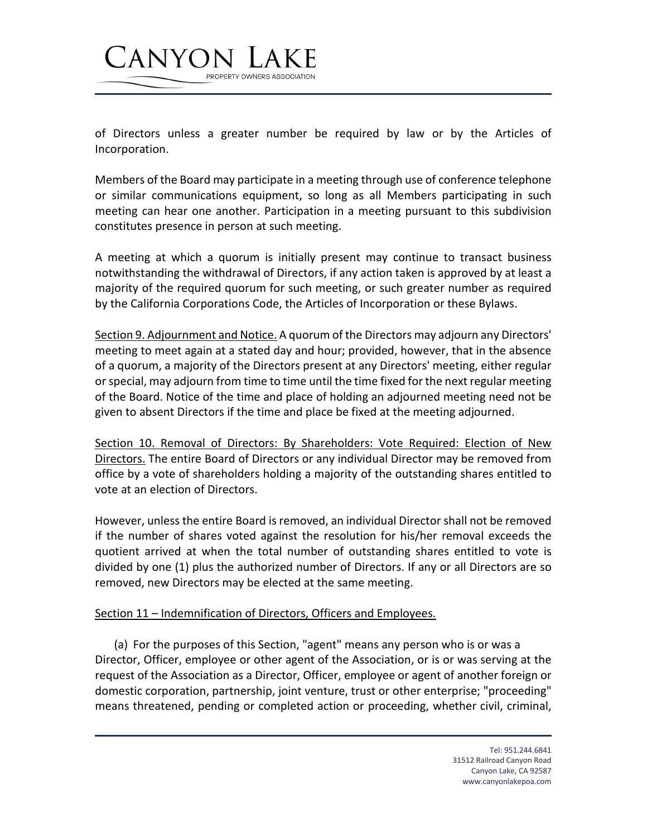

of Directors unless a greater number be required by law or by the Articles of Incorporation.

Members of the Board may participate in a meeting through use of conference telephone or similar communications equipment, so long as all Members participating in such meeting can hear one another. Participation in a meeting pursuant to this subdivision constitutes presence in person at such meeting.

A meeting at which a quorum is initially present may continue to transact business notwithstanding the withdrawal of Directors, if any action taken is approved by at least a majority of the required quorum for such meeting, or such greater number as required by the California Corporations Code, the Articles of Incorporation or these Bylaws.

Section 9. Adjournment and Notice. A quorum of the Directors may adjourn any Directors' meeting to meet again at a stated day and hour; provided, however, that in the absence of a quorum, a majority of the Directors present at any Directors' meeting, either regular or special, may adjourn from time to time until the time fixed for the next regular meeting of the Board. Notice of the time and place of holding an adjourned meeting need not be given to absent Directors if the time and place be fixed at the meeting adjourned.

Section 10. Removal of Directors: By Shareholders: Vote Required: Election of New Directors. The entire Board of Directors or any individual Director may be removed from office by a vote of shareholders holding a majority of the outstanding shares entitled to vote at an election of Directors.

However, unless the entire Board is removed, an individual Director shall not be removed if the number of shares voted against the resolution for his/her removal exceeds the quotient arrived at when the total number of outstanding shares entitled to vote is divided by one (1) plus the authorized number of Directors. If any or all Directors are so removed, new Directors may be elected at the same meeting.

## Section 11 – Indemnification of Directors, Officers and Employees.

(a) For the purposes of this Section, "agent" means any person who is or was a Director, Officer, employee or other agent of the Association, or is or was serving at the request of the Association as a Director, Officer, employee or agent of another foreign or domestic corporation, partnership, joint venture, trust or other enterprise; "proceeding" means threatened, pending or completed action or proceeding, whether civil, criminal,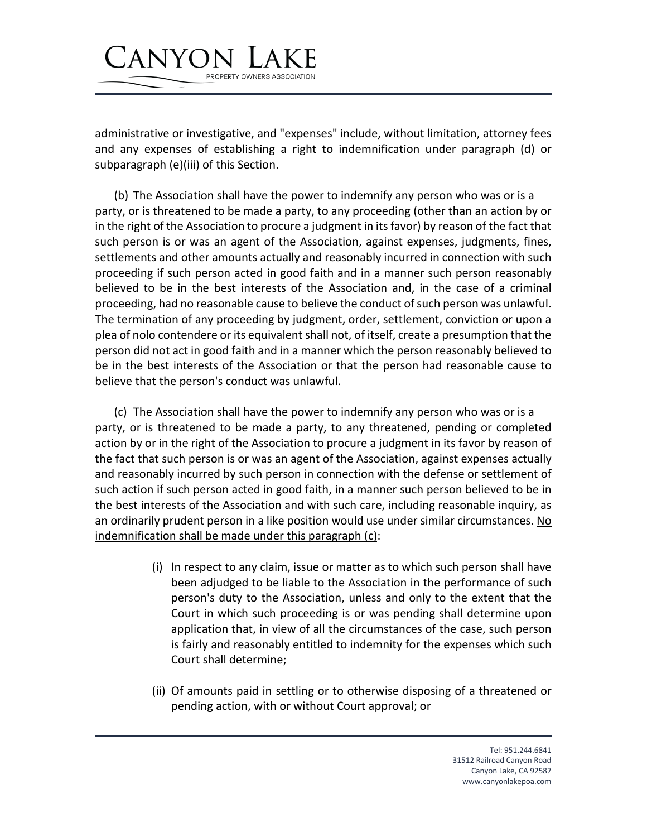administrative or investigative, and "expenses" include, without limitation, attorney fees and any expenses of establishing a right to indemnification under paragraph (d) or subparagraph (e)(iii) of this Section.

PROPERTY OWNERS ASSOCIATION

CANYON

(b) The Association shall have the power to indemnify any person who was or is a party, or is threatened to be made a party, to any proceeding (other than an action by or in the right of the Association to procure a judgment in its favor) by reason of the fact that such person is or was an agent of the Association, against expenses, judgments, fines, settlements and other amounts actually and reasonably incurred in connection with such proceeding if such person acted in good faith and in a manner such person reasonably believed to be in the best interests of the Association and, in the case of a criminal proceeding, had no reasonable cause to believe the conduct of such person was unlawful. The termination of any proceeding by judgment, order, settlement, conviction or upon a plea of nolo contendere or its equivalent shall not, of itself, create a presumption that the person did not act in good faith and in a manner which the person reasonably believed to be in the best interests of the Association or that the person had reasonable cause to believe that the person's conduct was unlawful.

(c) The Association shall have the power to indemnify any person who was or is a party, or is threatened to be made a party, to any threatened, pending or completed action by or in the right of the Association to procure a judgment in its favor by reason of the fact that such person is or was an agent of the Association, against expenses actually and reasonably incurred by such person in connection with the defense or settlement of such action if such person acted in good faith, in a manner such person believed to be in the best interests of the Association and with such care, including reasonable inquiry, as an ordinarily prudent person in a like position would use under similar circumstances. No indemnification shall be made under this paragraph (c):

- (i) In respect to any claim, issue or matter as to which such person shall have been adjudged to be liable to the Association in the performance of such person's duty to the Association, unless and only to the extent that the Court in which such proceeding is or was pending shall determine upon application that, in view of all the circumstances of the case, such person is fairly and reasonably entitled to indemnity for the expenses which such Court shall determine;
- (ii) Of amounts paid in settling or to otherwise disposing of a threatened or pending action, with or without Court approval; or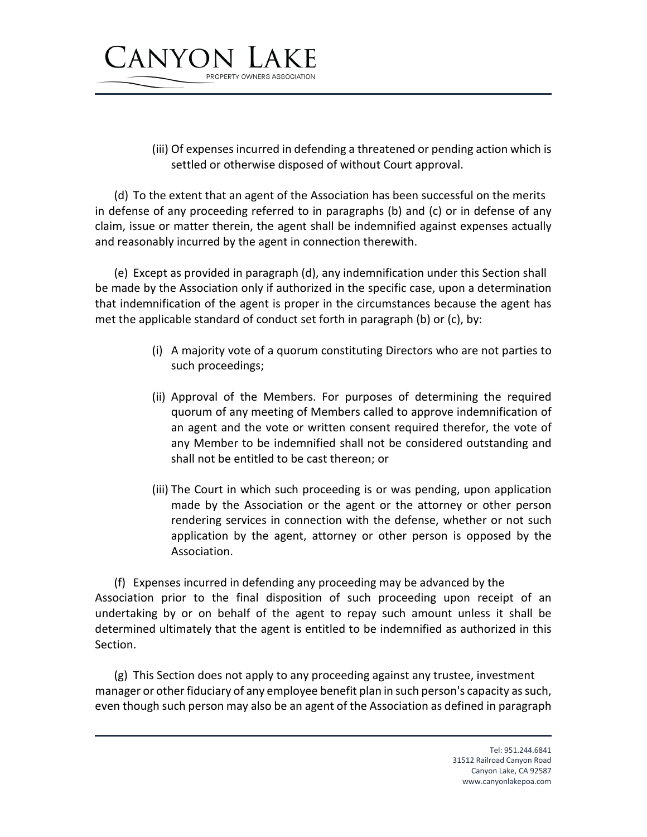

(iii) Of expenses incurred in defending a threatened or pending action which is settled or otherwise disposed of without Court approval.

(d) To the extent that an agent of the Association has been successful on the merits in defense of any proceeding referred to in paragraphs (b) and (c) or in defense of any claim, issue or matter therein, the agent shall be indemnified against expenses actually and reasonably incurred by the agent in connection therewith.

(e) Except as provided in paragraph (d), any indemnification under this Section shall be made by the Association only if authorized in the specific case, upon a determination that indemnification of the agent is proper in the circumstances because the agent has met the applicable standard of conduct set forth in paragraph (b) or (c), by:

- (i) A majority vote of a quorum constituting Directors who are not parties to such proceedings;
- (ii) Approval of the Members. For purposes of determining the required quorum of any meeting of Members called to approve indemnification of an agent and the vote or written consent required therefor, the vote of any Member to be indemnified shall not be considered outstanding and shall not be entitled to be cast thereon; or
- (iii) The Court in which such proceeding is or was pending, upon application made by the Association or the agent or the attorney or other person rendering services in connection with the defense, whether or not such application by the agent, attorney or other person is opposed by the Association.

(f) Expenses incurred in defending any proceeding may be advanced by the Association prior to the final disposition of such proceeding upon receipt of an undertaking by or on behalf of the agent to repay such amount unless it shall be determined ultimately that the agent is entitled to be indemnified as authorized in this Section.

(g) This Section does not apply to any proceeding against any trustee, investment manager or other fiduciary of any employee benefit plan in such person's capacity as such, even though such person may also be an agent of the Association as defined in paragraph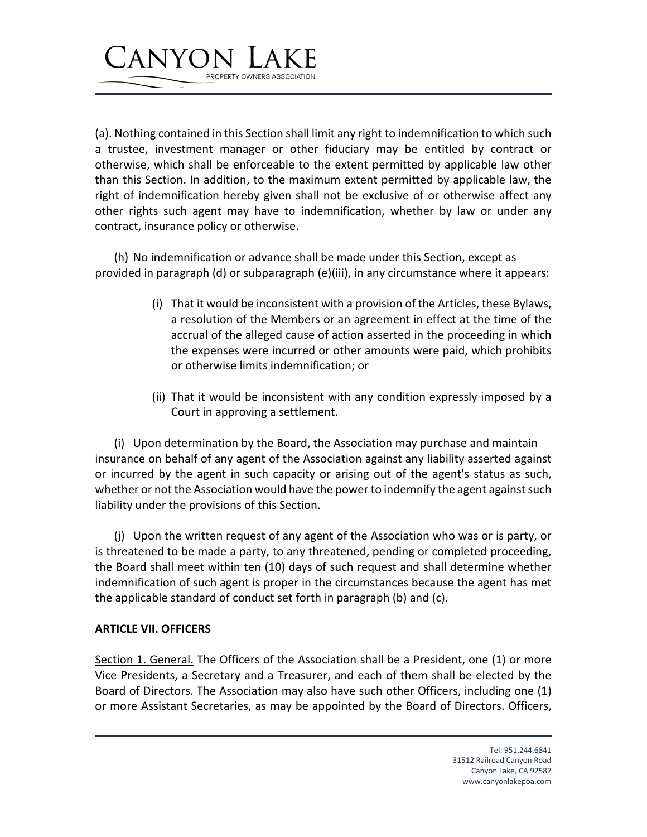

(a). Nothing contained in this Section shall limit any right to indemnification to which such a trustee, investment manager or other fiduciary may be entitled by contract or otherwise, which shall be enforceable to the extent permitted by applicable law other than this Section. In addition, to the maximum extent permitted by applicable law, the right of indemnification hereby given shall not be exclusive of or otherwise affect any other rights such agent may have to indemnification, whether by law or under any contract, insurance policy or otherwise.

(h) No indemnification or advance shall be made under this Section, except as provided in paragraph (d) or subparagraph (e)(iii), in any circumstance where it appears:

- (i) That it would be inconsistent with a provision of the Articles, these Bylaws, a resolution of the Members or an agreement in effect at the time of the accrual of the alleged cause of action asserted in the proceeding in which the expenses were incurred or other amounts were paid, which prohibits or otherwise limits indemnification; or
- (ii) That it would be inconsistent with any condition expressly imposed by a Court in approving a settlement.

(i) Upon determination by the Board, the Association may purchase and maintain insurance on behalf of any agent of the Association against any liability asserted against or incurred by the agent in such capacity or arising out of the agent's status as such, whether or not the Association would have the power to indemnify the agent against such liability under the provisions of this Section.

(j) Upon the written request of any agent of the Association who was or is party, or is threatened to be made a party, to any threatened, pending or completed proceeding, the Board shall meet within ten (10) days of such request and shall determine whether indemnification of such agent is proper in the circumstances because the agent has met the applicable standard of conduct set forth in paragraph (b) and (c).

#### **ARTICLE VII. OFFICERS**

Section 1. General. The Officers of the Association shall be a President, one (1) or more Vice Presidents, a Secretary and a Treasurer, and each of them shall be elected by the Board of Directors. The Association may also have such other Officers, including one (1) or more Assistant Secretaries, as may be appointed by the Board of Directors. Officers,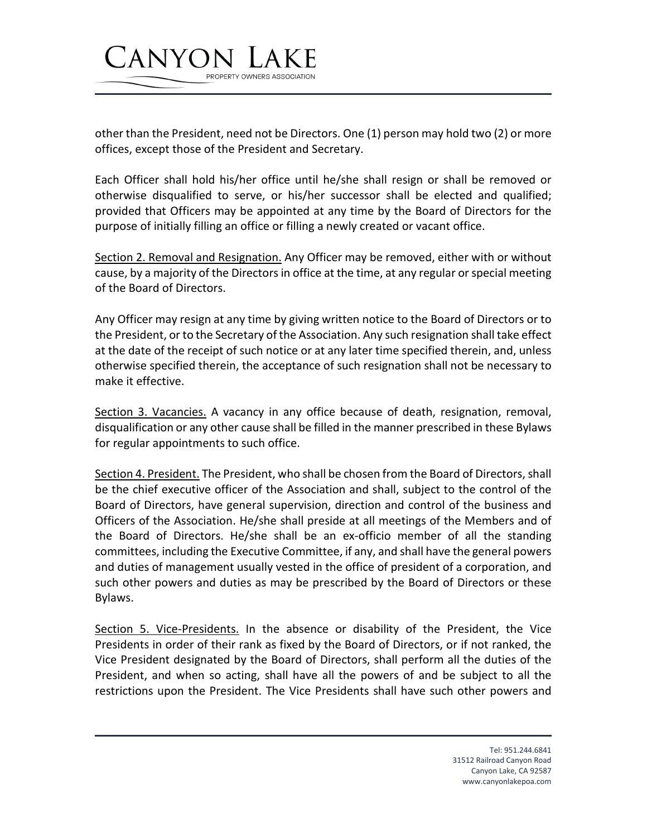

other than the President, need not be Directors. One (1) person may hold two (2) or more offices, except those of the President and Secretary.

Each Officer shall hold his/her office until he/she shall resign or shall be removed or otherwise disqualified to serve, or his/her successor shall be elected and qualified; provided that Officers may be appointed at any time by the Board of Directors for the purpose of initially filling an office or filling a newly created or vacant office.

Section 2. Removal and Resignation. Any Officer may be removed, either with or without cause, by a majority of the Directors in office at the time, at any regular or special meeting of the Board of Directors.

Any Officer may resign at any time by giving written notice to the Board of Directors or to the President, or to the Secretary of the Association. Any such resignation shall take effect at the date of the receipt of such notice or at any later time specified therein, and, unless otherwise specified therein, the acceptance of such resignation shall not be necessary to make it effective.

Section 3. Vacancies. A vacancy in any office because of death, resignation, removal, disqualification or any other cause shall be filled in the manner prescribed in these Bylaws for regular appointments to such office.

Section 4. President. The President, who shall be chosen from the Board of Directors, shall be the chief executive officer of the Association and shall, subject to the control of the Board of Directors, have general supervision, direction and control of the business and Officers of the Association. He/she shall preside at all meetings of the Members and of the Board of Directors. He/she shall be an ex-officio member of all the standing committees, including the Executive Committee, if any, and shall have the general powers and duties of management usually vested in the office of president of a corporation, and such other powers and duties as may be prescribed by the Board of Directors or these Bylaws.

Section 5. Vice-Presidents. In the absence or disability of the President, the Vice Presidents in order of their rank as fixed by the Board of Directors, or if not ranked, the Vice President designated by the Board of Directors, shall perform all the duties of the President, and when so acting, shall have all the powers of and be subject to all the restrictions upon the President. The Vice Presidents shall have such other powers and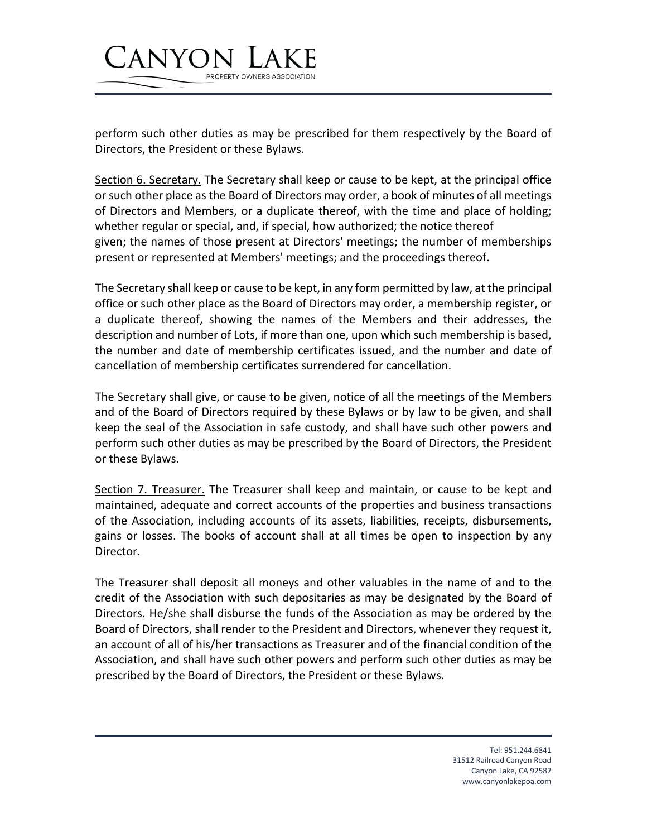

PROPERTY OWNERS ASSOCIATION

CANYON

Section 6. Secretary. The Secretary shall keep or cause to be kept, at the principal office or such other place as the Board of Directors may order, a book of minutes of all meetings of Directors and Members, or a duplicate thereof, with the time and place of holding; whether regular or special, and, if special, how authorized; the notice thereof given; the names of those present at Directors' meetings; the number of memberships present or represented at Members' meetings; and the proceedings thereof.

The Secretary shall keep or cause to be kept, in any form permitted by law, at the principal office or such other place as the Board of Directors may order, a membership register, or a duplicate thereof, showing the names of the Members and their addresses, the description and number of Lots, if more than one, upon which such membership is based, the number and date of membership certificates issued, and the number and date of cancellation of membership certificates surrendered for cancellation.

The Secretary shall give, or cause to be given, notice of all the meetings of the Members and of the Board of Directors required by these Bylaws or by law to be given, and shall keep the seal of the Association in safe custody, and shall have such other powers and perform such other duties as may be prescribed by the Board of Directors, the President or these Bylaws.

Section 7. Treasurer. The Treasurer shall keep and maintain, or cause to be kept and maintained, adequate and correct accounts of the properties and business transactions of the Association, including accounts of its assets, liabilities, receipts, disbursements, gains or losses. The books of account shall at all times be open to inspection by any Director.

The Treasurer shall deposit all moneys and other valuables in the name of and to the credit of the Association with such depositaries as may be designated by the Board of Directors. He/she shall disburse the funds of the Association as may be ordered by the Board of Directors, shall render to the President and Directors, whenever they request it, an account of all of his/her transactions as Treasurer and of the financial condition of the Association, and shall have such other powers and perform such other duties as may be prescribed by the Board of Directors, the President or these Bylaws.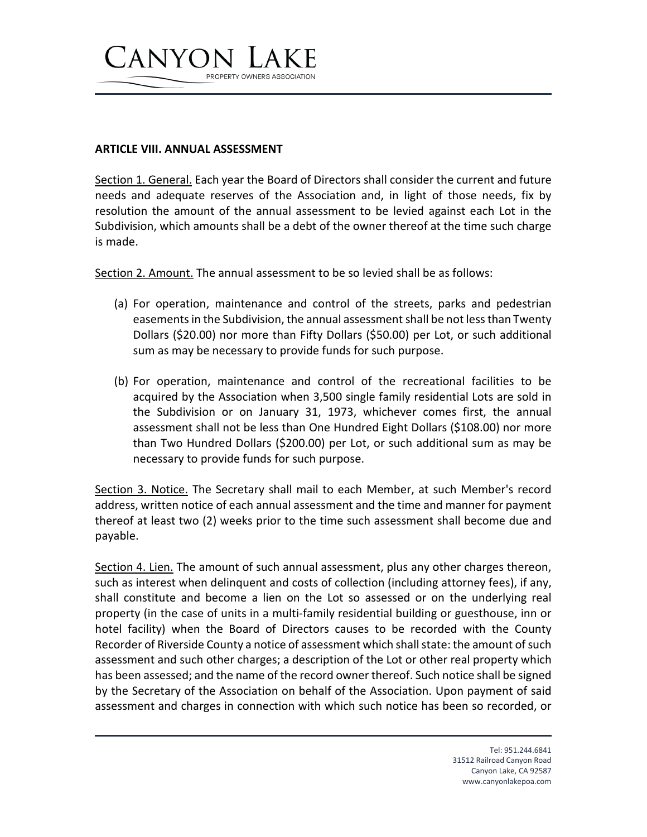

#### **ARTICLE VIII. ANNUAL ASSESSMENT**

Section 1. General. Each year the Board of Directors shall consider the current and future needs and adequate reserves of the Association and, in light of those needs, fix by resolution the amount of the annual assessment to be levied against each Lot in the Subdivision, which amounts shall be a debt of the owner thereof at the time such charge is made.

Section 2. Amount. The annual assessment to be so levied shall be as follows:

- (a) For operation, maintenance and control of the streets, parks and pedestrian easements in the Subdivision, the annual assessment shall be not less than Twenty Dollars (\$20.00) nor more than Fifty Dollars (\$50.00) per Lot, or such additional sum as may be necessary to provide funds for such purpose.
- (b) For operation, maintenance and control of the recreational facilities to be acquired by the Association when 3,500 single family residential Lots are sold in the Subdivision or on January 31, 1973, whichever comes first, the annual assessment shall not be less than One Hundred Eight Dollars (\$108.00) nor more than Two Hundred Dollars (\$200.00) per Lot, or such additional sum as may be necessary to provide funds for such purpose.

Section 3. Notice. The Secretary shall mail to each Member, at such Member's record address, written notice of each annual assessment and the time and manner for payment thereof at least two (2) weeks prior to the time such assessment shall become due and payable.

Section 4. Lien. The amount of such annual assessment, plus any other charges thereon, such as interest when delinquent and costs of collection (including attorney fees), if any, shall constitute and become a lien on the Lot so assessed or on the underlying real property (in the case of units in a multi-family residential building or guesthouse, inn or hotel facility) when the Board of Directors causes to be recorded with the County Recorder of Riverside County a notice of assessment which shall state: the amount of such assessment and such other charges; a description of the Lot or other real property which has been assessed; and the name of the record owner thereof. Such notice shall be signed by the Secretary of the Association on behalf of the Association. Upon payment of said assessment and charges in connection with which such notice has been so recorded, or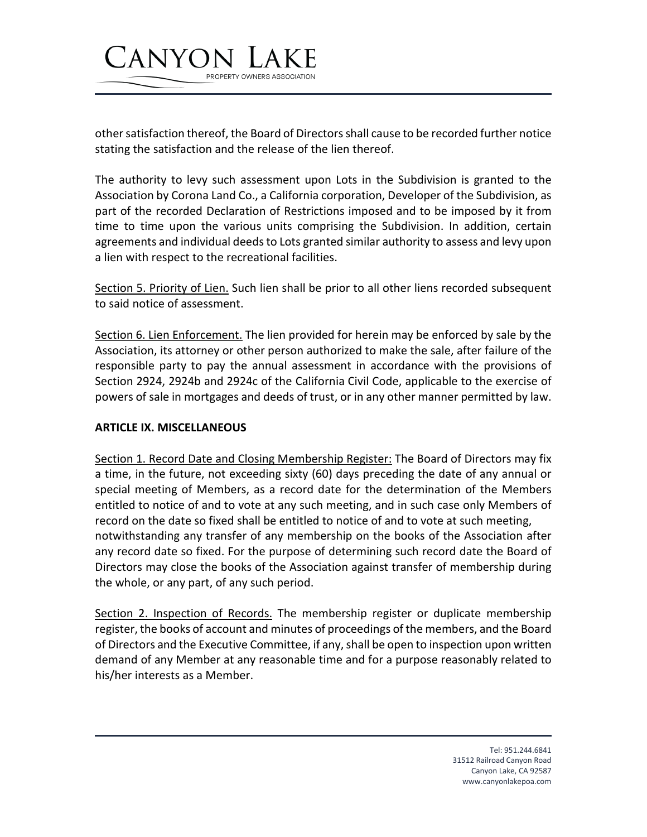

other satisfaction thereof, the Board of Directors shall cause to be recorded further notice stating the satisfaction and the release of the lien thereof.

The authority to levy such assessment upon Lots in the Subdivision is granted to the Association by Corona Land Co., a California corporation, Developer of the Subdivision, as part of the recorded Declaration of Restrictions imposed and to be imposed by it from time to time upon the various units comprising the Subdivision. In addition, certain agreements and individual deeds to Lots granted similar authority to assess and levy upon a lien with respect to the recreational facilities.

Section 5. Priority of Lien. Such lien shall be prior to all other liens recorded subsequent to said notice of assessment.

Section 6. Lien Enforcement. The lien provided for herein may be enforced by sale by the Association, its attorney or other person authorized to make the sale, after failure of the responsible party to pay the annual assessment in accordance with the provisions of Section 2924, 2924b and 2924c of the California Civil Code, applicable to the exercise of powers of sale in mortgages and deeds of trust, or in any other manner permitted by law.

#### **ARTICLE IX. MISCELLANEOUS**

Section 1. Record Date and Closing Membership Register: The Board of Directors may fix a time, in the future, not exceeding sixty (60) days preceding the date of any annual or special meeting of Members, as a record date for the determination of the Members entitled to notice of and to vote at any such meeting, and in such case only Members of record on the date so fixed shall be entitled to notice of and to vote at such meeting, notwithstanding any transfer of any membership on the books of the Association after any record date so fixed. For the purpose of determining such record date the Board of Directors may close the books of the Association against transfer of membership during the whole, or any part, of any such period.

Section 2. Inspection of Records. The membership register or duplicate membership register, the books of account and minutes of proceedings of the members, and the Board of Directors and the Executive Committee, if any, shall be open to inspection upon written demand of any Member at any reasonable time and for a purpose reasonably related to his/her interests as a Member.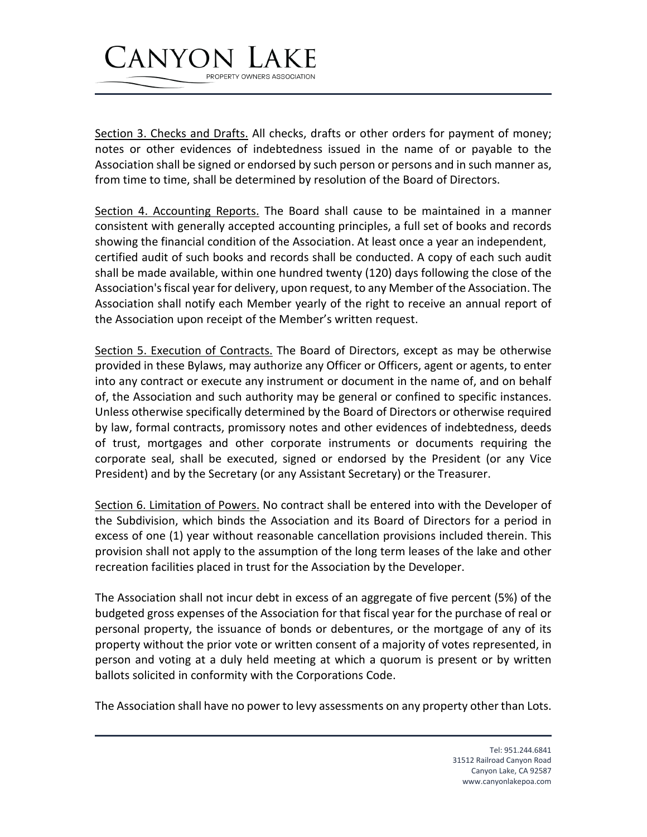## CANYON PROPERTY OWNERS ASSOCIATION

Section 3. Checks and Drafts. All checks, drafts or other orders for payment of money; notes or other evidences of indebtedness issued in the name of or payable to the Association shall be signed or endorsed by such person or persons and in such manner as, from time to time, shall be determined by resolution of the Board of Directors.

Section 4. Accounting Reports. The Board shall cause to be maintained in a manner consistent with generally accepted accounting principles, a full set of books and records showing the financial condition of the Association. At least once a year an independent, certified audit of such books and records shall be conducted. A copy of each such audit shall be made available, within one hundred twenty (120) days following the close of the Association's fiscal year for delivery, upon request, to any Member of the Association. The Association shall notify each Member yearly of the right to receive an annual report of the Association upon receipt of the Member's written request.

Section 5. Execution of Contracts. The Board of Directors, except as may be otherwise provided in these Bylaws, may authorize any Officer or Officers, agent or agents, to enter into any contract or execute any instrument or document in the name of, and on behalf of, the Association and such authority may be general or confined to specific instances. Unless otherwise specifically determined by the Board of Directors or otherwise required by law, formal contracts, promissory notes and other evidences of indebtedness, deeds of trust, mortgages and other corporate instruments or documents requiring the corporate seal, shall be executed, signed or endorsed by the President (or any Vice President) and by the Secretary (or any Assistant Secretary) or the Treasurer.

Section 6. Limitation of Powers. No contract shall be entered into with the Developer of the Subdivision, which binds the Association and its Board of Directors for a period in excess of one (1) year without reasonable cancellation provisions included therein. This provision shall not apply to the assumption of the long term leases of the lake and other recreation facilities placed in trust for the Association by the Developer.

The Association shall not incur debt in excess of an aggregate of five percent (5%) of the budgeted gross expenses of the Association for that fiscal year for the purchase of real or personal property, the issuance of bonds or debentures, or the mortgage of any of its property without the prior vote or written consent of a majority of votes represented, in person and voting at a duly held meeting at which a quorum is present or by written ballots solicited in conformity with the Corporations Code.

The Association shall have no power to levy assessments on any property other than Lots.